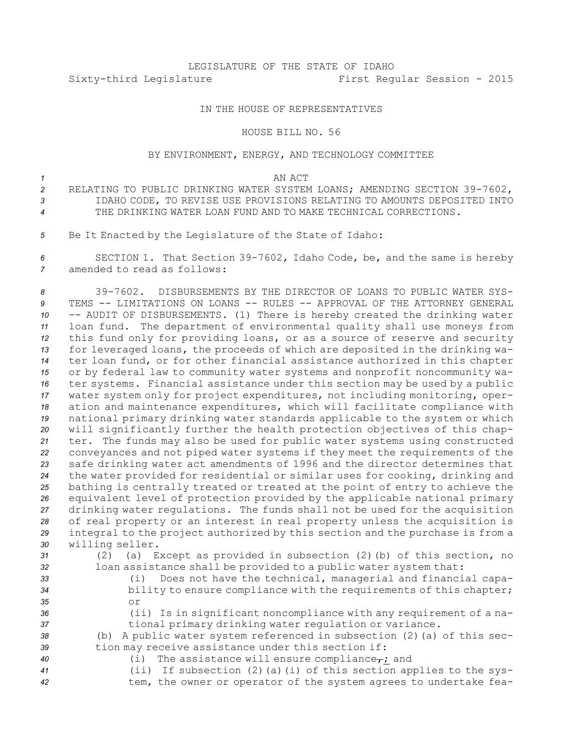# LEGISLATURE OF THE STATE OF IDAHO Sixty-third Legislature First Regular Session - 2015

## IN THE HOUSE OF REPRESENTATIVES

### HOUSE BILL NO. 56

## BY ENVIRONMENT, ENERGY, AND TECHNOLOGY COMMITTEE

#### *1* AN ACT

- *<sup>2</sup>* RELATING TO PUBLIC DRINKING WATER SYSTEM LOANS; AMENDING SECTION 39-7602, *3* IDAHO CODE, TO REVISE USE PROVISIONS RELATING TO AMOUNTS DEPOSITED INTO *4* THE DRINKING WATER LOAN FUND AND TO MAKE TECHNICAL CORRECTIONS.
- *<sup>5</sup>* Be It Enacted by the Legislature of the State of Idaho:

*<sup>6</sup>* SECTION 1. That Section 39-7602, Idaho Code, be, and the same is hereby *7* amended to read as follows:

 39-7602. DISBURSEMENTS BY THE DIRECTOR OF LOANS TO PUBLIC WATER SYS- TEMS -- LIMITATIONS ON LOANS -- RULES -- APPROVAL OF THE ATTORNEY GENERAL -- AUDIT OF DISBURSEMENTS. (1) There is hereby created the drinking water loan fund. The department of environmental quality shall use moneys from this fund only for providing loans, or as <sup>a</sup> source of reserve and security for leveraged loans, the proceeds of which are deposited in the drinking wa- ter loan fund, or for other financial assistance authorized in this chapter or by federal law to community water systems and nonprofit noncommunity wa- ter systems. Financial assistance under this section may be used by <sup>a</sup> public water system only for project expenditures, not including monitoring, oper- ation and maintenance expenditures, which will facilitate compliance with national primary drinking water standards applicable to the system or which will significantly further the health protection objectives of this chap- ter. The funds may also be used for public water systems using constructed conveyances and not piped water systems if they meet the requirements of the safe drinking water act amendments of 1996 and the director determines that the water provided for residential or similar uses for cooking, drinking and bathing is centrally treated or treated at the point of entry to achieve the equivalent level of protection provided by the applicable national primary drinking water regulations. The funds shall not be used for the acquisition of real property or an interest in real property unless the acquisition is integral to the project authorized by this section and the purchase is from <sup>a</sup> willing seller.

- 
- *<sup>31</sup>* (2) (a) Except as provided in subsection (2)(b) of this section, no *<sup>32</sup>* loan assistance shall be provided to <sup>a</sup> public water system that:
- *<sup>33</sup>* (i) Does not have the technical, managerial and financial capa-*<sup>34</sup>* bility to ensure compliance with the requirements of this chapter; *35* or
- 
- 

*<sup>36</sup>* (ii) Is in significant noncompliance with any requirement of <sup>a</sup> na-*<sup>37</sup>* tional primary drinking water regulation or variance.

*<sup>38</sup>* (b) <sup>A</sup> public water system referenced in subsection (2)(a) of this sec-*<sup>39</sup>* tion may receive assistance under this section if:

- 
- 40 (i) The assistance will ensure compliance<sub>r</sub>; and
	-
- 
- *<sup>41</sup>* (ii) If subsection (2)(a)(i) of this section applies to the sys-*<sup>42</sup>* tem, the owner or operator of the system agrees to undertake fea-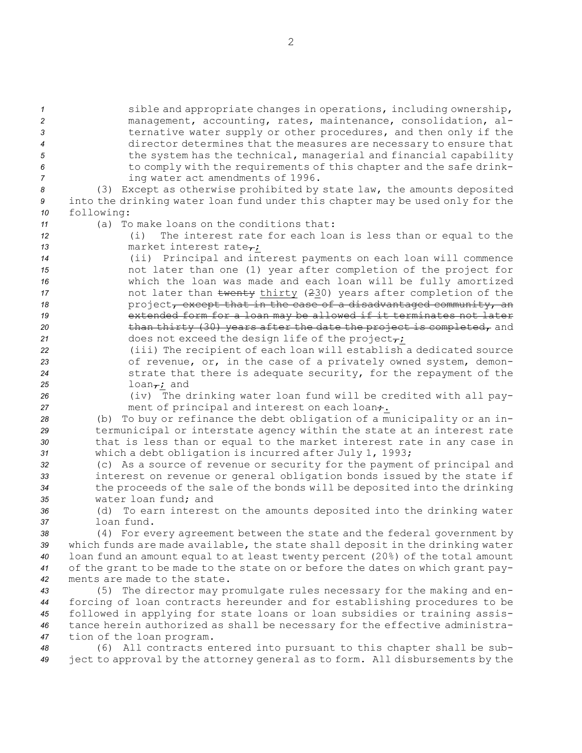**1** sible and appropriate changes in operations, including ownership, management, accounting, rates, maintenance, consolidation, al- ternative water supply or other procedures, and then only if the director determines that the measures are necessary to ensure that **120 the system has the technical, managerial and financial capability**  to comply with the requirements of this chapter and the safe drink-ing water act amendments of 1996.

*<sup>8</sup>* (3) Except as otherwise prohibited by state law, the amounts deposited *<sup>9</sup>* into the drinking water loan fund under this chapter may be used only for the *<sup>10</sup>* following:

*<sup>11</sup>* (a) To make loans on the conditions that:

*<sup>12</sup>* (i) The interest rate for each loan is less than or equal to the 13 market interest rate<sub>r</sub>;

- *<sup>14</sup>* (ii) Principal and interest payments on each loan will commence *<sup>15</sup>* not later than one (1) year after completion of the project for *<sup>16</sup>* which the loan was made and each loan will be fully amortized 17 **17 17 12** not later than twenty thirty (230) years after completion of the 18 **project<del>, except that in the case of a disadvantaged community, an**</del> 19 **19** extended form for a loan may be allowed if it terminates not later 20 **than thirty (30) years after the date the project is completed,** and 21 does not exceed the design life of the project $\tau$ ;
- *<sup>22</sup>* (iii) The recipient of each loan will establish <sup>a</sup> dedicated source 23 of revenue, or, in the case of a privately owned system, demon-*<sup>24</sup>* strate that there is adequate security, for the repayment of the  $25$  loan<sub> $\tau$ </sub>; and
- 

*<sup>26</sup>* (iv) The drinking water loan fund will be credited with all pay-27 ment of principal and interest on each loan.

 (b) To buy or refinance the debt obligation of <sup>a</sup> municipality or an in- termunicipal or interstate agency within the state at an interest rate that is less than or equal to the market interest rate in any case in which <sup>a</sup> debt obligation is incurred after July 1, 1993;

 (c) As <sup>a</sup> source of revenue or security for the payment of principal and interest on revenue or general obligation bonds issued by the state if the proceeds of the sale of the bonds will be deposited into the drinking water loan fund; and

*<sup>36</sup>* (d) To earn interest on the amounts deposited into the drinking water *37* loan fund.

 (4) For every agreement between the state and the federal government by which funds are made available, the state shall deposit in the drinking water loan fund an amount equal to at least twenty percent (20%) of the total amount of the grant to be made to the state on or before the dates on which grant pay-ments are made to the state.

 (5) The director may promulgate rules necessary for the making and en- forcing of loan contracts hereunder and for establishing procedures to be followed in applying for state loans or loan subsidies or training assis- tance herein authorized as shall be necessary for the effective administra-tion of the loan program.

*<sup>48</sup>* (6) All contracts entered into pursuant to this chapter shall be sub-*<sup>49</sup>* ject to approval by the attorney general as to form. All disbursements by the